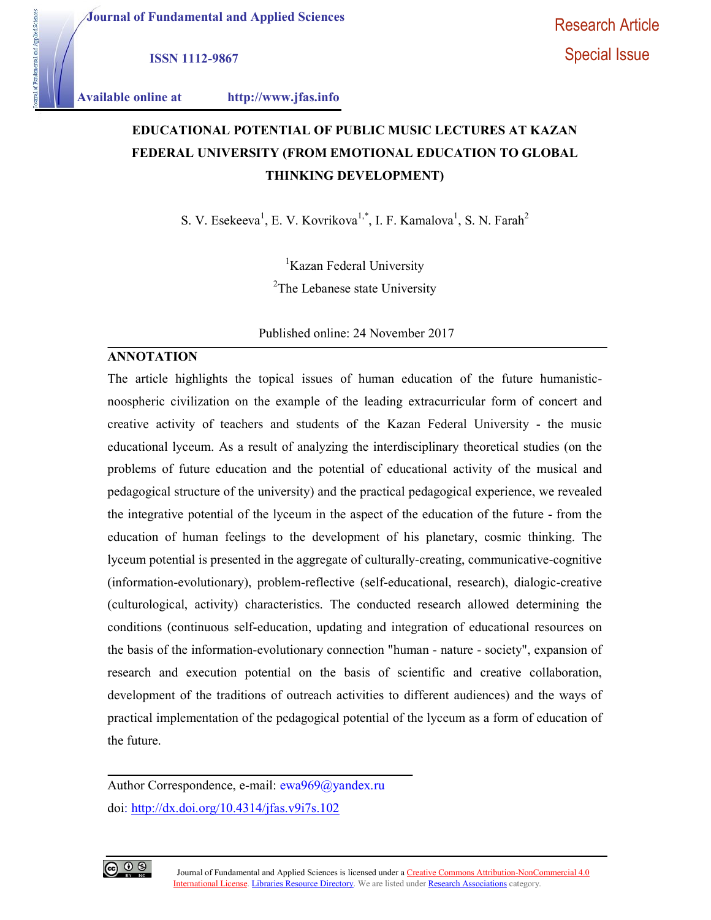Journal of Fundamental and Applied Sciences

ISSN 1112-9867

aertal and Applied Sciences

Available online at http://www.jfas.info

# EDUCATIONAL POTENTIAL OF PUBLIC MUSIC LECTURES AT KAZAN FEDERAL UNIVERSITY (FROM EMOTIONAL EDUCATION TO GLOBAL THINKING DEVELOPMENT)

S. V. Esekeeva<sup>1</sup>, E. V. Kovrikova<sup>1,\*</sup>, I. F. Kamalova<sup>1</sup>, S. N. Farah<sup>2</sup>

<sup>1</sup>Kazan Federal University

<sup>2</sup>The Lebanese state University

Published online: 24 November 2017

## ANNOTATION

The article highlights the topical issues of human education of the future humanisticnoospheric civilization on the example of the leading extracurricular form of concert and creative activity of teachers and students of the Kazan Federal University - the music educational lyceum. As a result of analyzing the interdisciplinary theoretical studies (on the problems of future education and the potential of educational activity of the musical and pedagogical structure of the university) and the practical pedagogical experience, we revealed the integrative potential of the lyceum in the aspect of the education of the future - from the education of human feelings to the development of his planetary, cosmic thinking. The lyceum potential is presented in the aggregate of culturally-creating, communicative-cognitive (information-evolutionary), problem-reflective (self-educational, research), dialogic-creative (culturological, activity) characteristics. The conducted research allowed determining the conditions (continuous self-education, updating and integration of educational resources on the basis of the information-evolutionary connection "human - nature - society", expansion of research and execution potential on the basis of scientific and creative collaboration, development of the traditions of outreach activities to different audiences) and the ways of practical implementation of the pedagogical potential of the lyceum as a form of education of the future.

Author Correspondence, e-mail: ewa969@yandex.ru doi: http://dx.doi.org/10.4314/jfas.v9i7s.102

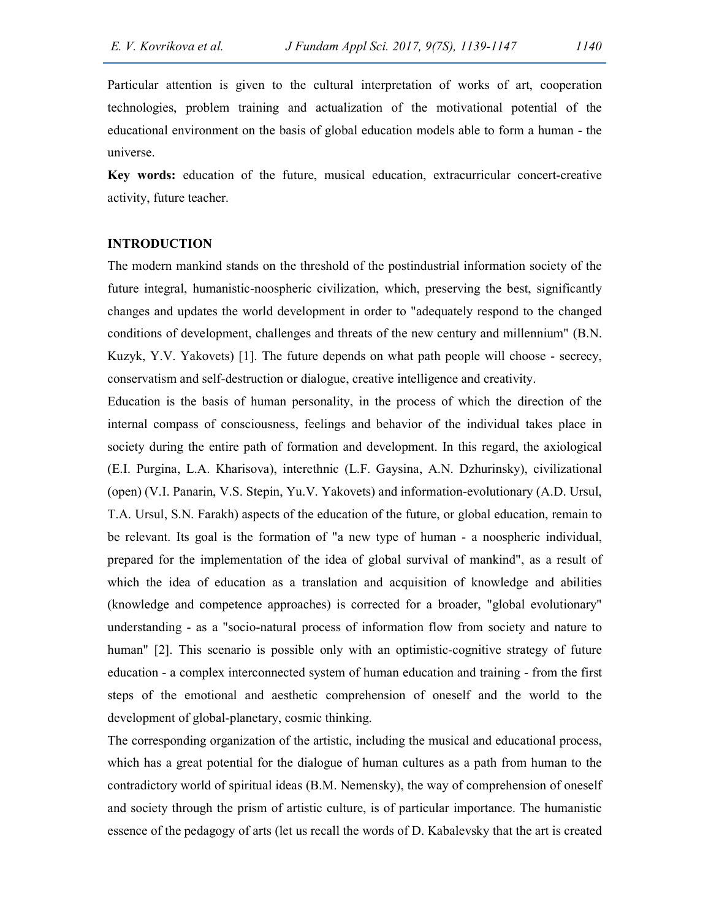Particular attention is given to the cultural interpretation of works of art, cooperation technologies, problem training and actualization of the motivational potential of the educational environment on the basis of global education models able to form a human - the universe.

Key words: education of the future, musical education, extracurricular concert-creative activity, future teacher.

# INTRODUCTION

The modern mankind stands on the threshold of the postindustrial information society of the future integral, humanistic-noospheric civilization, which, preserving the best, significantly changes and updates the world development in order to "adequately respond to the changed conditions of development, challenges and threats of the new century and millennium" (B.N. Kuzyk, Y.V. Yakovets) [1]. The future depends on what path people will choose - secrecy, conservatism and self-destruction or dialogue, creative intelligence and creativity.

Education is the basis of human personality, in the process of which the direction of the internal compass of consciousness, feelings and behavior of the individual takes place in society during the entire path of formation and development. In this regard, the axiological (E.I. Purgina, L.A. Kharisova), interethnic (L.F. Gaysina, A.N. Dzhurinsky), civilizational (open) (V.I. Panarin, V.S. Stepin, Yu.V. Yakovets) and information-evolutionary (A.D. Ursul, T.A. Ursul, S.N. Farakh) aspects of the education of the future, or global education, remain to be relevant. Its goal is the formation of "a new type of human - a noospheric individual, prepared for the implementation of the idea of global survival of mankind", as a result of which the idea of education as a translation and acquisition of knowledge and abilities (knowledge and competence approaches) is corrected for a broader, "global evolutionary" understanding - as a "socio-natural process of information flow from society and nature to human" [2]. This scenario is possible only with an optimistic-cognitive strategy of future education - a complex interconnected system of human education and training - from the first steps of the emotional and aesthetic comprehension of oneself and the world to the development of global-planetary, cosmic thinking.

The corresponding organization of the artistic, including the musical and educational process, which has a great potential for the dialogue of human cultures as a path from human to the contradictory world of spiritual ideas (B.M. Nemensky), the way of comprehension of oneself and society through the prism of artistic culture, is of particular importance. The humanistic essence of the pedagogy of arts (let us recall the words of D. Kabalevsky that the art is created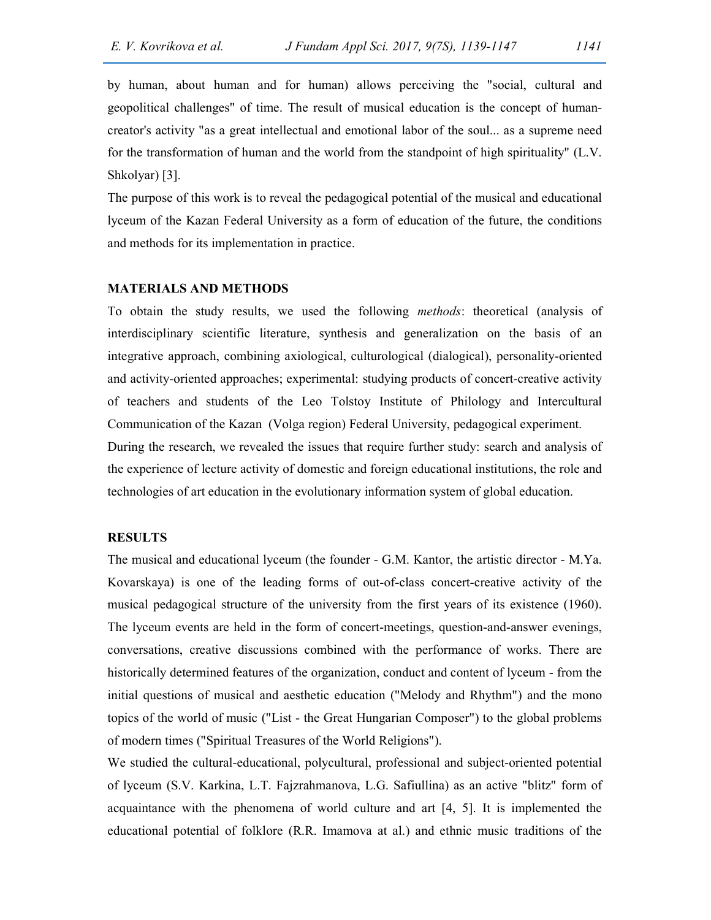by human, about human and for human) allows perceiving the "social, cultural and geopolitical challenges" of time. The result of musical education is the concept of humancreator's activity "as a great intellectual and emotional labor of the soul... as a supreme need for the transformation of human and the world from the standpoint of high spirituality" (L.V. Shkolyar) [3].

The purpose of this work is to reveal the pedagogical potential of the musical and educational lyceum of the Kazan Federal University as a form of education of the future, the conditions and methods for its implementation in practice.

#### MATERIALS AND METHODS

To obtain the study results, we used the following methods: theoretical (analysis of interdisciplinary scientific literature, synthesis and generalization on the basis of an integrative approach, combining axiological, culturological (dialogical), personality-oriented and activity-oriented approaches; experimental: studying products of concert-creative activity of teachers and students of the Leo Tolstoy Institute of Philology and Intercultural Communication of the Kazan (Volga region) Federal University, pedagogical experiment. During the research, we revealed the issues that require further study: search and analysis of the experience of lecture activity of domestic and foreign educational institutions, the role and technologies of art education in the evolutionary information system of global education.

# **RESULTS**

The musical and educational lyceum (the founder - G.M. Kantor, the artistic director - M.Ya. Kovarskaya) is one of the leading forms of out-of-class concert-creative activity of the musical pedagogical structure of the university from the first years of its existence (1960). The lyceum events are held in the form of concert-meetings, question-and-answer evenings, conversations, creative discussions combined with the performance of works. There are historically determined features of the organization, conduct and content of lyceum - from the initial questions of musical and aesthetic education ("Melody and Rhythm") and the mono topics of the world of music ("List - the Great Hungarian Composer") to the global problems of modern times ("Spiritual Treasures of the World Religions").

We studied the cultural-educational, polycultural, professional and subject-oriented potential of lyceum (S.V. Karkina, L.T. Fajzrahmanova, L.G. Safiullina) as an active "blitz" form of acquaintance with the phenomena of world culture and art [4, 5]. It is implemented the educational potential of folklore (R.R. Imamova at al.) and ethnic music traditions of the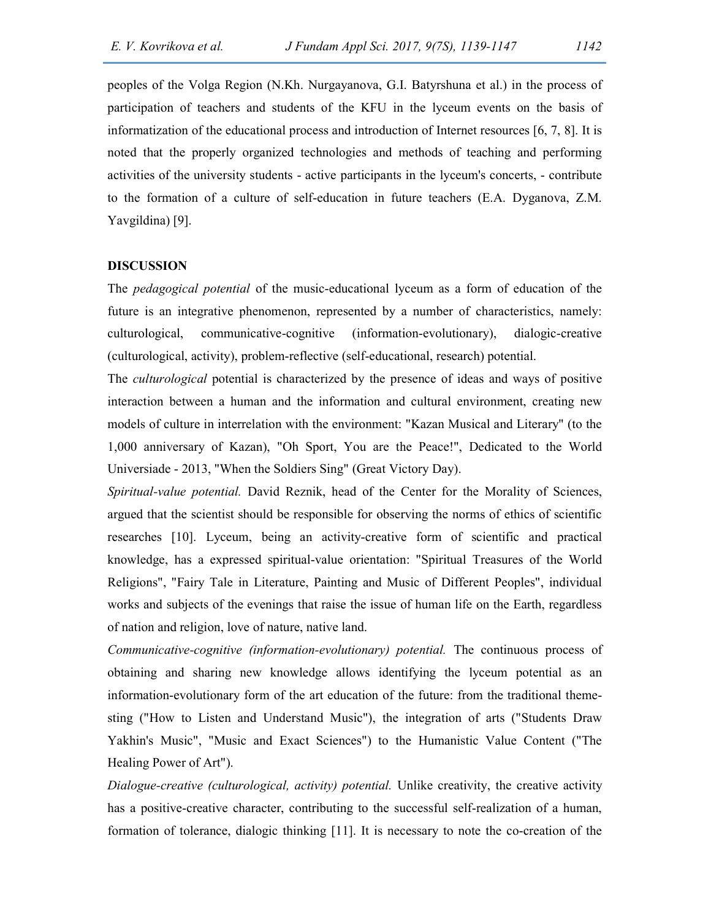peoples of the Volga Region (N.Kh. Nurgayanova, G.I. Batyrshuna et al.) in the process of participation of teachers and students of the KFU in the lyceum events on the basis of informatization of the educational process and introduction of Internet resources [6, 7, 8]. It is noted that the properly organized technologies and methods of teaching and performing activities of the university students - active participants in the lyceum's concerts, - contribute to the formation of a culture of self-education in future teachers (E.A. Dyganova, Z.M. Yavgildina) [9].

## DISCUSSION

The pedagogical potential of the music-educational lyceum as a form of education of the future is an integrative phenomenon, represented by a number of characteristics, namely: culturological, communicative-cognitive (information-evolutionary), dialogic-creative (culturological, activity), problem-reflective (self-educational, research) potential.

The culturological potential is characterized by the presence of ideas and ways of positive interaction between a human and the information and cultural environment, creating new models of culture in interrelation with the environment: "Kazan Musical and Literary" (to the 1,000 anniversary of Kazan), "Oh Sport, You are the Peace!", Dedicated to the World Universiade - 2013, "When the Soldiers Sing" (Great Victory Day).

Spiritual-value potential. David Reznik, head of the Center for the Morality of Sciences, argued that the scientist should be responsible for observing the norms of ethics of scientific researches [10]. Lyceum, being an activity-creative form of scientific and practical knowledge, has a expressed spiritual-value orientation: "Spiritual Treasures of the World Religions", "Fairy Tale in Literature, Painting and Music of Different Peoples", individual works and subjects of the evenings that raise the issue of human life on the Earth, regardless of nation and religion, love of nature, native land.

Communicative-cognitive (information-evolutionary) potential. The continuous process of obtaining and sharing new knowledge allows identifying the lyceum potential as an information-evolutionary form of the art education of the future: from the traditional themesting ("How to Listen and Understand Music"), the integration of arts ("Students Draw Yakhin's Music", "Music and Exact Sciences") to the Humanistic Value Content ("The Healing Power of Art").

Dialogue-creative (culturological, activity) potential. Unlike creativity, the creative activity has a positive-creative character, contributing to the successful self-realization of a human, formation of tolerance, dialogic thinking [11]. It is necessary to note the co-creation of the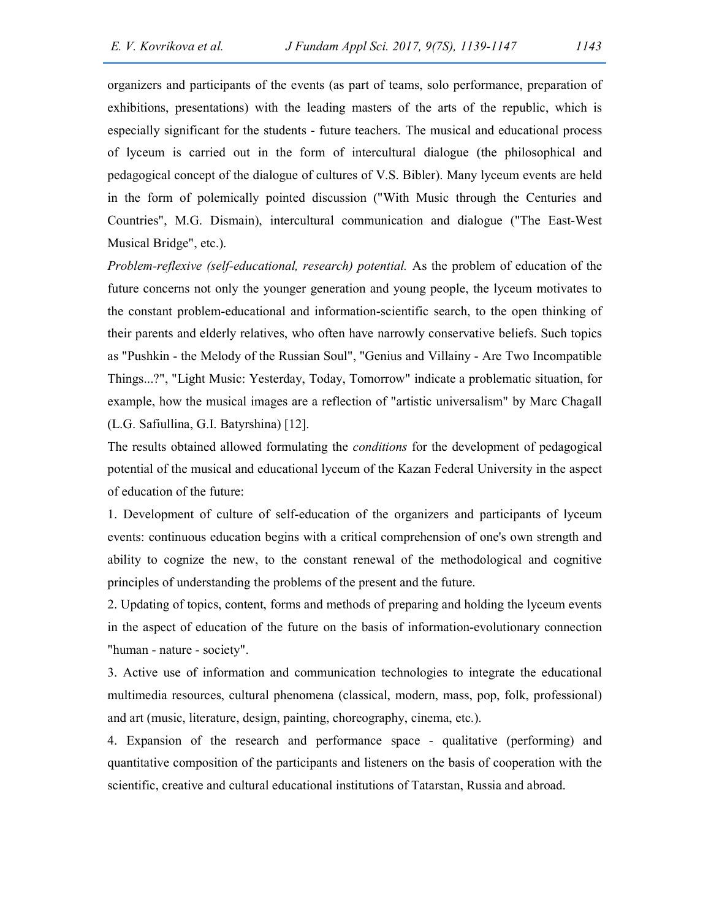organizers and participants of the events (as part of teams, solo performance, preparation of exhibitions, presentations) with the leading masters of the arts of the republic, which is especially significant for the students - future teachers. The musical and educational process of lyceum is carried out in the form of intercultural dialogue (the philosophical and pedagogical concept of the dialogue of cultures of V.S. Bibler). Many lyceum events are held in the form of polemically pointed discussion ("With Music through the Centuries and Countries", M.G. Dismain), intercultural communication and dialogue ("The East-West Musical Bridge", etc.).

Problem-reflexive (self-educational, research) potential. As the problem of education of the future concerns not only the younger generation and young people, the lyceum motivates to the constant problem-educational and information-scientific search, to the open thinking of their parents and elderly relatives, who often have narrowly conservative beliefs. Such topics as "Pushkin - the Melody of the Russian Soul", "Genius and Villainy - Are Two Incompatible Things...?", "Light Music: Yesterday, Today, Tomorrow" indicate a problematic situation, for example, how the musical images are a reflection of "artistic universalism" by Marc Chagall (L.G. Safiullina, G.I. Batyrshina) [12].

The results obtained allowed formulating the conditions for the development of pedagogical potential of the musical and educational lyceum of the Kazan Federal University in the aspect of education of the future:

1. Development of culture of self-education of the organizers and participants of lyceum events: continuous education begins with a critical comprehension of one's own strength and ability to cognize the new, to the constant renewal of the methodological and cognitive principles of understanding the problems of the present and the future.

2. Updating of topics, content, forms and methods of preparing and holding the lyceum events in the aspect of education of the future on the basis of information-evolutionary connection "human - nature - society".

3. Active use of information and communication technologies to integrate the educational multimedia resources, cultural phenomena (classical, modern, mass, pop, folk, professional) and art (music, literature, design, painting, choreography, cinema, etc.).

4. Expansion of the research and performance space - qualitative (performing) and quantitative composition of the participants and listeners on the basis of cooperation with the scientific, creative and cultural educational institutions of Tatarstan, Russia and abroad.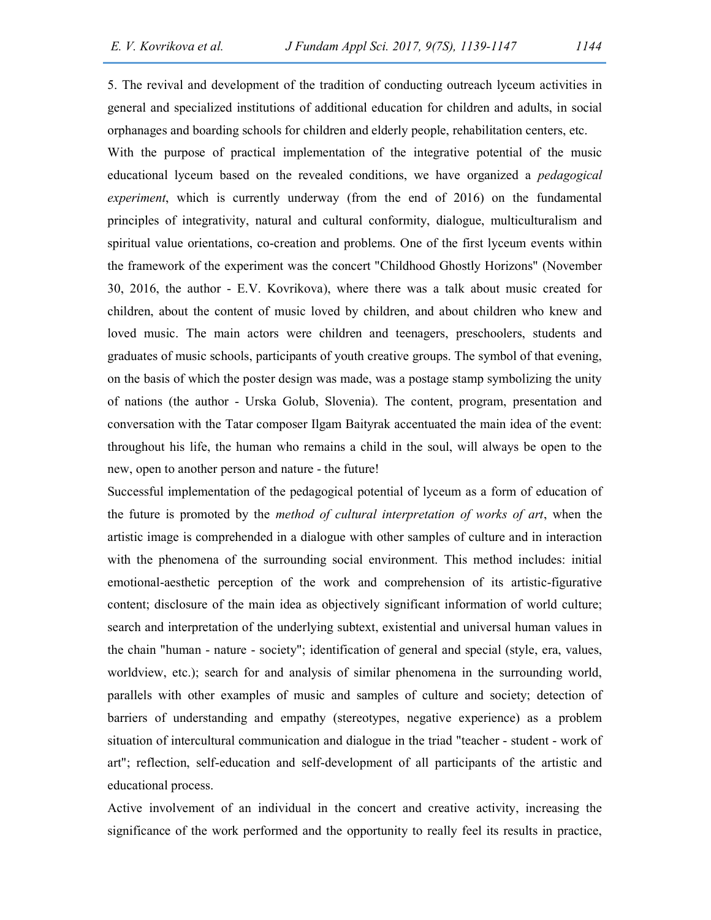5. The revival and development of the tradition of conducting outreach lyceum activities in general and specialized institutions of additional education for children and adults, in social orphanages and boarding schools for children and elderly people, rehabilitation centers, etc.

With the purpose of practical implementation of the integrative potential of the music educational lyceum based on the revealed conditions, we have organized a pedagogical experiment, which is currently underway (from the end of 2016) on the fundamental principles of integrativity, natural and cultural conformity, dialogue, multiculturalism and spiritual value orientations, co-creation and problems. One of the first lyceum events within the framework of the experiment was the concert "Childhood Ghostly Horizons" (November 30, 2016, the author - E.V. Kovrikova), where there was a talk about music created for children, about the content of music loved by children, and about children who knew and loved music. The main actors were children and teenagers, preschoolers, students and graduates of music schools, participants of youth creative groups. The symbol of that evening, on the basis of which the poster design was made, was a postage stamp symbolizing the unity of nations (the author - Urska Golub, Slovenia). The content, program, presentation and conversation with the Tatar composer Ilgam Baityrak accentuated the main idea of the event: throughout his life, the human who remains a child in the soul, will always be open to the new, open to another person and nature - the future!

Successful implementation of the pedagogical potential of lyceum as a form of education of the future is promoted by the *method of cultural interpretation of works of art*, when the artistic image is comprehended in a dialogue with other samples of culture and in interaction with the phenomena of the surrounding social environment. This method includes: initial emotional-aesthetic perception of the work and comprehension of its artistic-figurative content; disclosure of the main idea as objectively significant information of world culture; search and interpretation of the underlying subtext, existential and universal human values in the chain "human - nature - society"; identification of general and special (style, era, values, worldview, etc.); search for and analysis of similar phenomena in the surrounding world, parallels with other examples of music and samples of culture and society; detection of barriers of understanding and empathy (stereotypes, negative experience) as a problem situation of intercultural communication and dialogue in the triad "teacher - student - work of art"; reflection, self-education and self-development of all participants of the artistic and educational process.

Active involvement of an individual in the concert and creative activity, increasing the significance of the work performed and the opportunity to really feel its results in practice,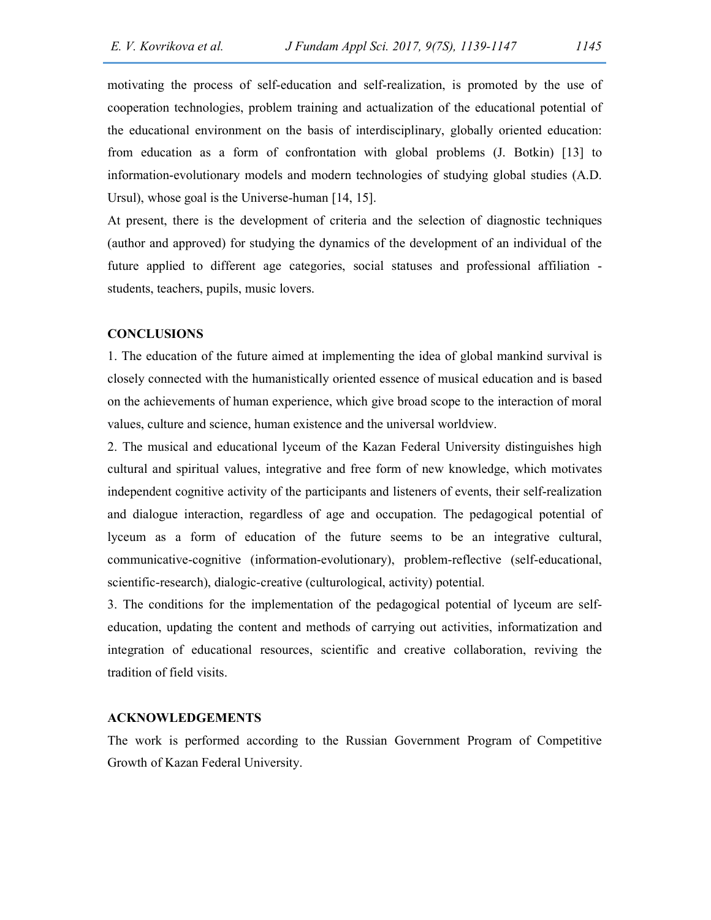motivating the process of self-education and self-realization, is promoted by the use of cooperation technologies, problem training and actualization of the educational potential of the educational environment on the basis of interdisciplinary, globally oriented education: from education as a form of confrontation with global problems (J. Botkin) [13] to information-evolutionary models and modern technologies of studying global studies (A.D. Ursul), whose goal is the Universe-human [14, 15].

At present, there is the development of criteria and the selection of diagnostic techniques (author and approved) for studying the dynamics of the development of an individual of the future applied to different age categories, social statuses and professional affiliation students, teachers, pupils, music lovers.

#### **CONCLUSIONS**

1. The education of the future aimed at implementing the idea of global mankind survival is closely connected with the humanistically oriented essence of musical education and is based on the achievements of human experience, which give broad scope to the interaction of moral values, culture and science, human existence and the universal worldview.

2. The musical and educational lyceum of the Kazan Federal University distinguishes high cultural and spiritual values, integrative and free form of new knowledge, which motivates independent cognitive activity of the participants and listeners of events, their self-realization and dialogue interaction, regardless of age and occupation. The pedagogical potential of lyceum as a form of education of the future seems to be an integrative cultural, communicative-cognitive (information-evolutionary), problem-reflective (self-educational, scientific-research), dialogic-creative (culturological, activity) potential.

3. The conditions for the implementation of the pedagogical potential of lyceum are selfeducation, updating the content and methods of carrying out activities, informatization and integration of educational resources, scientific and creative collaboration, reviving the tradition of field visits.

#### ACKNOWLEDGEMENTS

The work is performed according to the Russian Government Program of Competitive Growth of Kazan Federal University.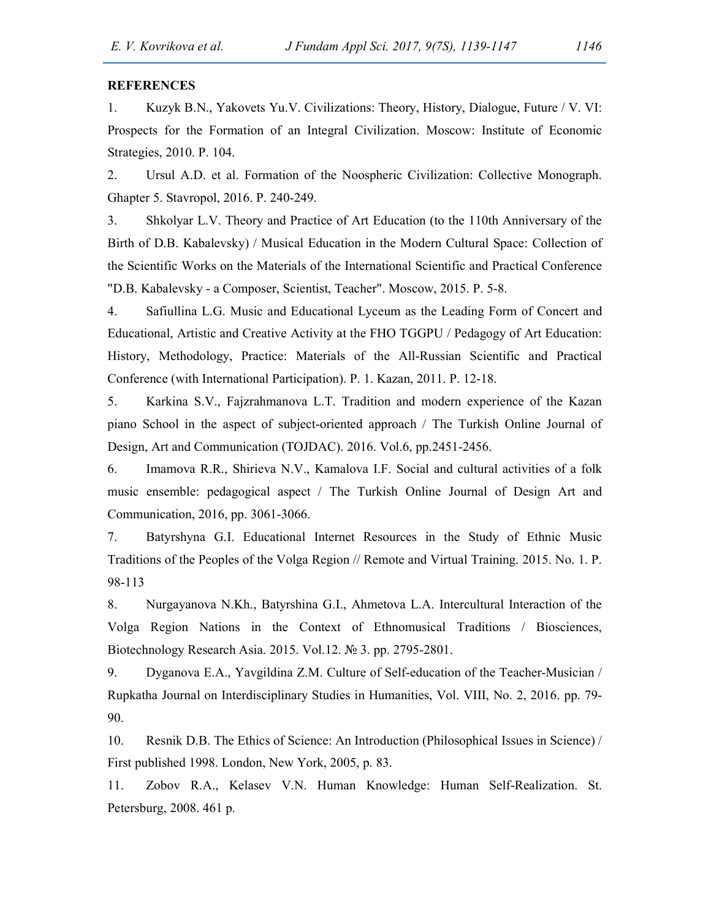## **REFERENCES**

1. Kuzyk B.N., Yakovets Yu.V. Civilizations: Theory, History, Dialogue, Future / V. VI: Prospects for the Formation of an Integral Civilization. Moscow: Institute of Economic Strategies, 2010. P. 104.

2. Ursul A.D. et al. Formation of the Noospheric Civilization: Collective Monograph. Ghapter 5. Stavropol, 2016. P. 240-249.

3. Shkolyar L.V. Theory and Practice of Art Education (to the 110th Anniversary of the Birth of D.B. Kabalevsky) / Musical Education in the Modern Cultural Space: Collection of the Scientific Works on the Materials of the International Scientific and Practical Conference "D.B. Kabalevsky - a Composer, Scientist, Teacher". Moscow, 2015. P. 5-8.

4. Safiullina L.G. Music and Educational Lyceum as the Leading Form of Concert and Educational, Artistic and Creative Activity at the FHO TGGPU / Pedagogy of Art Education: History, Methodology, Practice: Materials of the All-Russian Scientific and Practical Conference (with International Participation). P. 1. Kazan, 2011. P. 12-18.

5. Karkina S.V., Fajzrahmanova L.T. Tradition and modern experience of the Kazan piano School in the aspect of subject-oriented approach / The Turkish Online Journal of Design, Art and Communication (TOJDAC). 2016. Vol.6, pp.2451-2456.

6. Imamova R.R., Shirieva N.V., Kamalova I.F. Social and cultural activities of a folk music ensemble: pedagogical aspect / The Turkish Online Journal of Design Art and Communication, 2016, pp. 3061-3066.

7. Batyrshyna G.I. Educational Internet Resources in the Study of Ethnic Music Traditions of the Peoples of the Volga Region // Remote and Virtual Training. 2015. No. 1. P. 98-113

8. Nurgayanova N.Kh., Batyrshina G.I., Ahmetova L.А. Intercultural Interaction of the Volga Region Nations in the Context of Ethnomusical Traditions / Biosciences, Biotechnology Research Asia. 2015. Vol.12. № 3. рр. 2795-2801.

9. Dyganova E.A., Yavgildina Z.M. Culture of Self-education of the Teacher-Musician / Rupkatha Journal on Interdisciplinary Studies in Humanities, Vol. VIII, No. 2, 2016. рр. 79- 90.

10. Resnik D.B. The Ethics of Science: An Introduction (Philosophical Issues in Science) / First published 1998. London, New York, 2005, p. 83.

11. Zobov R.A., Kelasev V.N. Human Knowledge: Human Self-Realization. St. Petersburg, 2008. 461 p.